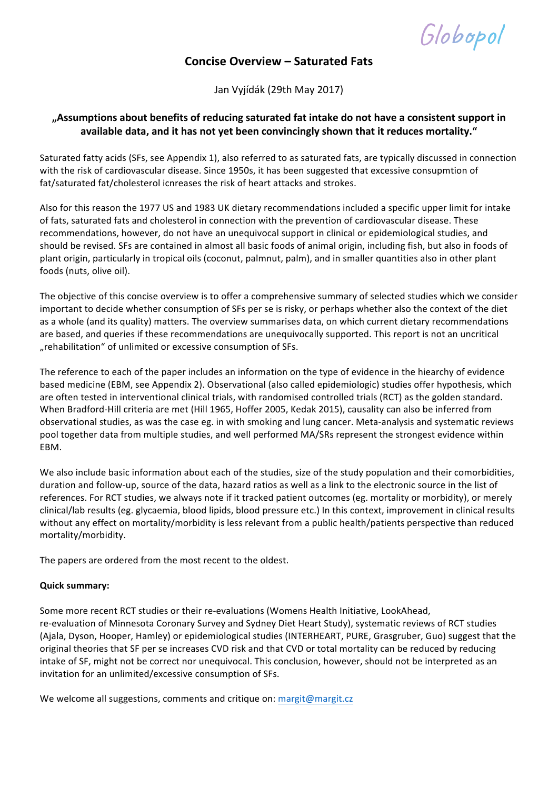Globopol

### **Concise Overview – Saturated Fats**

Jan Vyjídák (29th May 2017)

#### "Assumptions about benefits of reducing saturated fat intake do not have a consistent support in available data, and it has not yet been convincingly shown that it reduces mortality."

Saturated fatty acids (SFs, see Appendix 1), also referred to as saturated fats, are typically discussed in connection with the risk of cardiovascular disease. Since 1950s, it has been suggested that excessive consupmtion of fat/saturated fat/cholesterol icnreases the risk of heart attacks and strokes.

Also for this reason the 1977 US and 1983 UK dietary recommendations included a specific upper limit for intake of fats, saturated fats and cholesterol in connection with the prevention of cardiovascular disease. These recommendations, however, do not have an unequivocal support in clinical or epidemiological studies, and should be revised. SFs are contained in almost all basic foods of animal origin, including fish, but also in foods of plant origin, particularly in tropical oils (coconut, palmnut, palm), and in smaller quantities also in other plant foods (nuts, olive oil).

The objective of this concise overview is to offer a comprehensive summary of selected studies which we consider important to decide whether consumption of SFs per se is risky, or perhaps whether also the context of the diet as a whole (and its quality) matters. The overview summarises data, on which current dietary recommendations are based, and queries if these recommendations are unequivocally supported. This report is not an uncritical "rehabilitation" of unlimited or excessive consumption of SFs.

The reference to each of the paper includes an information on the type of evidence in the hiearchy of evidence based medicine (EBM, see Appendix 2). Observational (also called epidemiologic) studies offer hypothesis, which are often tested in interventional clinical trials, with randomised controlled trials (RCT) as the golden standard. When Bradford-Hill criteria are met (Hill 1965, Hoffer 2005, Kedak 2015), causality can also be inferred from observational studies, as was the case eg. in with smoking and lung cancer. Meta-analysis and systematic reviews pool together data from multiple studies, and well performed MA/SRs represent the strongest evidence within EBM.

We also include basic information about each of the studies, size of the study population and their comorbidities, duration and follow-up, source of the data, hazard ratios as well as a link to the electronic source in the list of references. For RCT studies, we always note if it tracked patient outcomes (eg. mortality or morbidity), or merely clinical/lab results (eg. glycaemia, blood lipids, blood pressure etc.) In this context, improvement in clinical results without any effect on mortality/morbidity is less relevant from a public health/patients perspective than reduced mortality/morbidity.

The papers are ordered from the most recent to the oldest.

#### **Quick summary:**

Some more recent RCT studies or their re-evaluations (Womens Health Initiative, LookAhead, re-evaluation of Minnesota Coronary Survey and Sydney Diet Heart Study), systematic reviews of RCT studies (Ajala, Dyson, Hooper, Hamley) or epidemiological studies (INTERHEART, PURE, Grasgruber, Guo) suggest that the original theories that SF per se increases CVD risk and that CVD or total mortality can be reduced by reducing intake of SF, might not be correct nor unequivocal. This conclusion, however, should not be interpreted as an invitation for an unlimited/excessive consumption of SFs.

We welcome all suggestions, comments and critique on: margit@margit.cz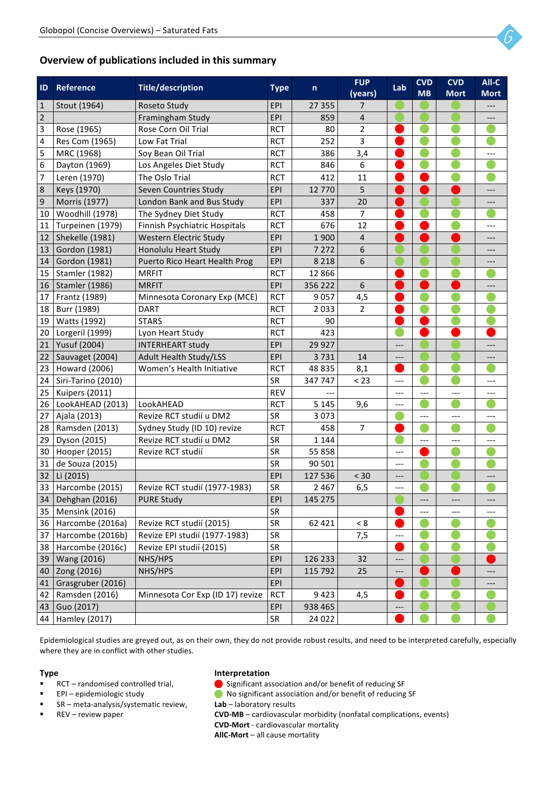

#### **Overview of publications included in this summary**

| ID             | <b>Reference</b>      | <b>Title/description</b>         | <b>Type</b> | n       | <b>FUP</b><br>(years) | Lab   | <b>CVD</b><br><b>MB</b> | <b>CVD</b><br><b>Mort</b> | All-C<br><b>Mort</b> |
|----------------|-----------------------|----------------------------------|-------------|---------|-----------------------|-------|-------------------------|---------------------------|----------------------|
| $\mathbf{1}$   | Stout (1964)          | Roseto Study                     | EPI         | 27 355  | 7                     |       |                         |                           |                      |
| $\overline{2}$ |                       | Framingham Study                 | EPI         | 859     | $\overline{4}$        |       |                         |                           | ---                  |
| 3              | Rose (1965)           | Rose Corn Oil Trial              | <b>RCT</b>  | 80      | 2                     |       |                         |                           |                      |
| 4              | Res Com (1965)        | Low Fat Trial                    | <b>RCT</b>  | 252     | 3                     |       |                         |                           |                      |
| 5              | MRC (1968)            | Soy Bean Oil Trial               | <b>RCT</b>  | 386     | 3,4                   |       |                         |                           | ---                  |
| 6              | Dayton (1969)         | Los Angeles Diet Study           | <b>RCT</b>  | 846     | 6                     |       |                         |                           |                      |
| 7              | Leren (1970)          | The Oslo Trial                   | <b>RCT</b>  | 412     | 11                    |       |                         |                           |                      |
| 8              | Keys (1970)           | Seven Countries Study            | EPI         | 12770   | 5                     |       |                         |                           |                      |
| 9              | Morris (1977)         | London Bank and Bus Study        | EPI         | 337     | 20                    |       |                         |                           | ---                  |
| 10             | Woodhill (1978)       | The Sydney Diet Study            | <b>RCT</b>  | 458     | $\overline{7}$        |       |                         |                           |                      |
| 11             | Turpeinen (1979)      | Finnish Psychiatric Hospitals    | <b>RCT</b>  | 676     | 12                    |       |                         |                           | ---                  |
| 12             | Shekelle (1981)       | <b>Western Electric Study</b>    | EPI         | 1900    | $\overline{4}$        |       |                         |                           |                      |
| 13             | Gordon (1981)         | Honolulu Heart Study             | EPI         | 7 2 7 2 | 6                     |       |                         |                           |                      |
| 14             | Gordon (1981)         | Puerto Rico Heart Health Prog    | EPI         | 8 2 1 8 | 6                     |       |                         |                           |                      |
| 15             | <b>Stamler (1982)</b> | <b>MRFIT</b>                     | <b>RCT</b>  | 12866   |                       |       |                         |                           |                      |
| 16             | <b>Stamler (1986)</b> | <b>MRFIT</b>                     | EPI         | 356 222 | 6                     |       |                         |                           | ---                  |
| 17             | Frantz (1989)         | Minnesota Coronary Exp (MCE)     | <b>RCT</b>  | 9057    | 4,5                   |       |                         |                           |                      |
| 18             | Burr (1989)           | <b>DART</b>                      | <b>RCT</b>  | 2033    | $\overline{2}$        |       |                         |                           |                      |
| 19             | Watts (1992)          | <b>STARS</b>                     | <b>RCT</b>  | 90      |                       |       |                         |                           |                      |
| 20             | Lorgeril (1999)       | Lyon Heart Study                 | <b>RCT</b>  | 423     |                       |       |                         |                           |                      |
| 21             | Yusuf (2004)          | <b>INTERHEART study</b>          | EPI         | 29 9 27 |                       | ---   |                         |                           |                      |
| 22             | Sauvaget (2004)       | <b>Adult Health Study/LSS</b>    | EPI         | 3731    | 14                    | ---   |                         |                           |                      |
| 23             | Howard (2006)         | Women's Health Initiative        | <b>RCT</b>  | 48 835  | 8,1                   |       |                         |                           |                      |
| 24             | Siri-Tarino (2010)    |                                  | SR          | 347 747 | < 23                  | ---   |                         |                           | ---                  |
| 25             | Kuipers (2011)        |                                  | <b>REV</b>  |         |                       | $---$ | ---                     | $---$                     | ---                  |
| 26             | LookAHEAD (2013)      | LookAHEAD                        | <b>RCT</b>  | 5 1 4 5 | 9,6                   | ---   |                         |                           |                      |
| 27             | Ajala (2013)          | Revize RCT studií u DM2          | <b>SR</b>   | 3073    |                       |       | $---$                   | $---$                     | ---                  |
| 28             | Ramsden (2013)        | Sydney Study (ID 10) revize      | <b>RCT</b>  | 458     | $\overline{7}$        |       |                         |                           |                      |
| 29             | Dyson (2015)          | Revize RCT studií u DM2          | <b>SR</b>   | 1 1 4 4 |                       |       | ---                     | ---                       | ---                  |
| 30             | Hooper (2015)         | Revize RCT studií                | SR          | 55 858  |                       | $---$ |                         |                           |                      |
| 31             | de Souza (2015)       |                                  | SR          | 90 501  |                       |       |                         |                           |                      |
| 32             | Li (2015)             |                                  | EPI         | 127 536 | $<$ 30                | ---   |                         |                           |                      |
| 33             | Harcombe (2015)       | Revize RCT studií (1977-1983)    | <b>SR</b>   | 2 4 6 7 | 6,5                   | ---   |                         |                           |                      |
| 34             | Dehghan (2016)        | <b>PURE Study</b>                | EPI         | 145 275 |                       |       | ---                     | $---$                     | ---                  |
| 35             | <b>Mensink (2016)</b> |                                  | SR          |         |                       |       | ---                     | $---$                     | ---                  |
| 36             | Harcombe (2016a)      | Revize RCT studií (2015)         | SR          | 62 4 21 | < 8                   |       |                         |                           |                      |
| 37             | Harcombe (2016b)      | Revize EPI studií (1977-1983)    | SR          |         | 7,5                   | ---   |                         |                           |                      |
| 38             | Harcombe (2016c)      | Revize EPI studií (2015)         | SR          |         |                       |       |                         |                           |                      |
| 39             | Wang (2016)           | NHS/HPS                          | EPI         | 126 233 | 32                    |       |                         |                           |                      |
| 40             | Zong (2016)           | NHS/HPS                          | EPI         | 115 792 | 25                    | ---   |                         |                           |                      |
| 41             | Grasgruber (2016)     |                                  | EPI         |         |                       |       |                         |                           | ---                  |
| 42             | Ramsden (2016)        | Minnesota Cor Exp (ID 17) revize | <b>RCT</b>  | 9423    | 4,5                   |       |                         |                           |                      |
| 43             | Guo (2017)            |                                  | EPI         | 938 465 |                       |       |                         |                           |                      |
| 44             | <b>Hamley (2017)</b>  |                                  | SR          | 24 0 22 |                       |       |                         |                           |                      |

Epidemiological studies are greyed out, as on their own, they do not provide robust results, and need to be interpreted carefully, especially where they are in conflict with other studies.

#### **Type**

- RCT randomised controlled trial.
- **EPI** epidemiologic study
- $\blacksquare$  SR meta-analysis/systematic review,
- REV review paper

#### **Interpretation**

- $\bigodot$  Significant association and/or benefit of reducing SF
- **n** No significant association and/or benefit of reducing SF
- Lab laboratory results
- **CVD-MB** cardiovascular morbidity (nonfatal complications, events)
- **CVD-Mort** cardiovascular mortality
- **AllC-Mort** all cause mortality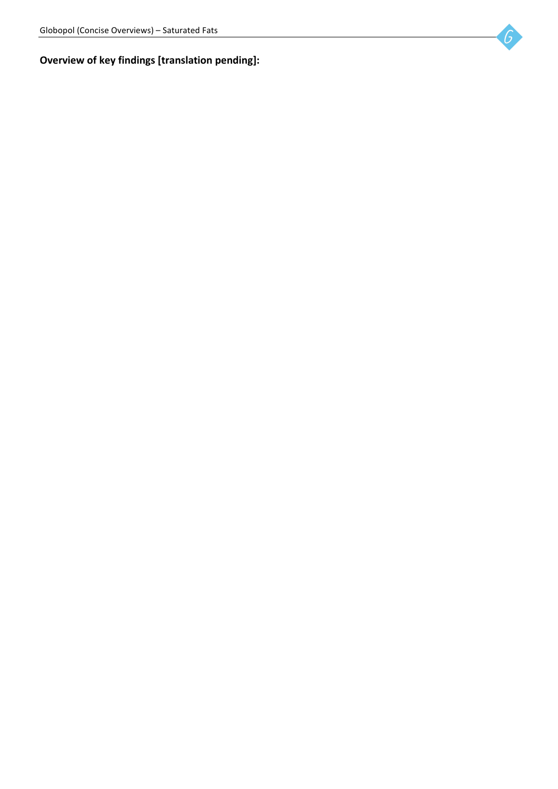# **Overview of key findings [translation pending]:**

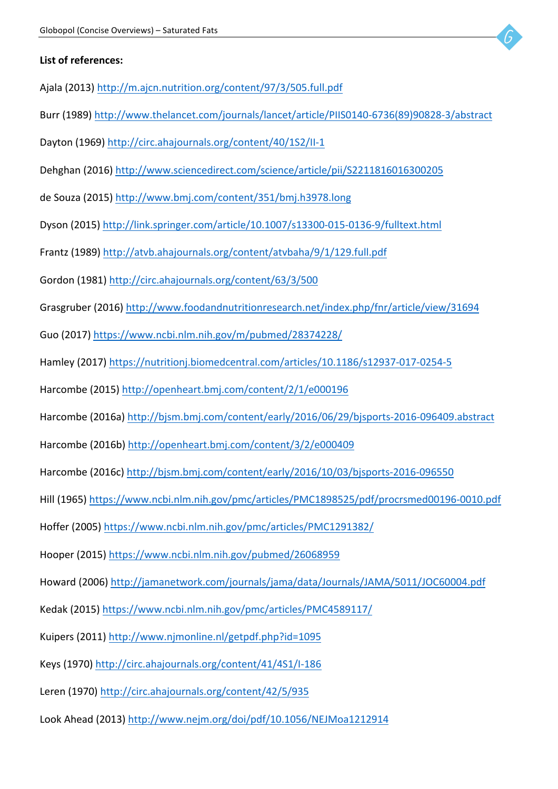

#### List of references:

- Ajala (2013) http://m.ajcn.nutrition.org/content/97/3/505.full.pdf
- Burr (1989) http://www.thelancet.com/journals/lancet/article/PIIS0140-6736(89)90828-3/abstract
- Dayton (1969) http://circ.ahajournals.org/content/40/1S2/II-1
- Dehghan (2016) http://www.sciencedirect.com/science/article/pii/S2211816016300205
- de Souza (2015) http://www.bmj.com/content/351/bmj.h3978.long
- Dyson (2015) http://link.springer.com/article/10.1007/s13300-015-0136-9/fulltext.html
- Frantz (1989) http://atvb.ahajournals.org/content/atvbaha/9/1/129.full.pdf
- Gordon (1981) http://circ.ahajournals.org/content/63/3/500
- Grasgruber (2016) http://www.foodandnutritionresearch.net/index.php/fnr/article/view/31694
- Guo (2017) https://www.ncbi.nlm.nih.gov/m/pubmed/28374228/
- Hamley (2017) https://nutritionj.biomedcentral.com/articles/10.1186/s12937-017-0254-5
- Harcombe (2015) http://openheart.bmj.com/content/2/1/e000196
- Harcombe (2016a) http://bism.bmj.com/content/early/2016/06/29/bisports-2016-096409.abstract
- Harcombe (2016b) http://openheart.bmj.com/content/3/2/e000409
- Harcombe (2016c) http://bjsm.bmj.com/content/early/2016/10/03/bjsports-2016-096550
- Hill (1965) https://www.ncbi.nlm.nih.gov/pmc/articles/PMC1898525/pdf/procrsmed00196-0010.pdf
- Hoffer (2005) https://www.ncbi.nlm.nih.gov/pmc/articles/PMC1291382/
- Hooper (2015) https://www.ncbi.nlm.nih.gov/pubmed/26068959
- Howard (2006) http://jamanetwork.com/journals/jama/data/Journals/JAMA/5011/JOC60004.pdf
- Kedak (2015) https://www.ncbi.nlm.nih.gov/pmc/articles/PMC4589117/
- Kuipers (2011) http://www.njmonline.nl/getpdf.php?id=1095
- Keys (1970) http://circ.ahajournals.org/content/41/4S1/I-186
- Leren (1970) http://circ.ahajournals.org/content/42/5/935
- Look Ahead (2013) http://www.nejm.org/doi/pdf/10.1056/NEJMoa1212914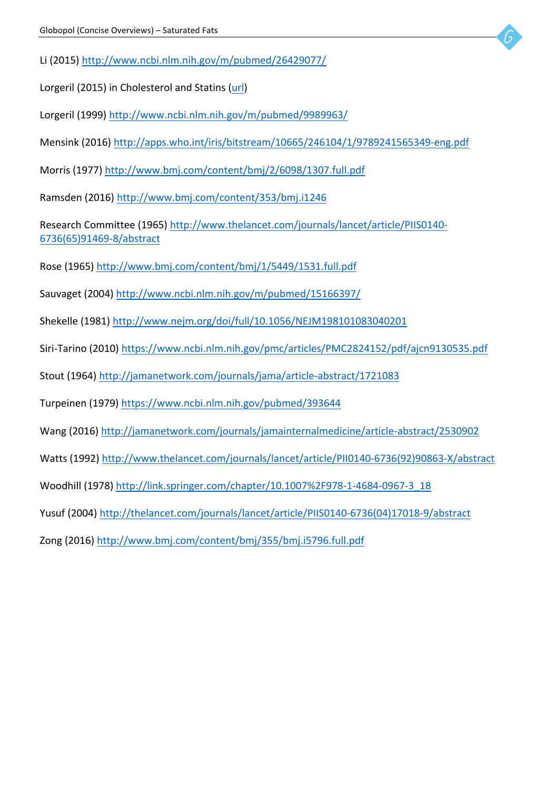- Li (2015) http://www.ncbi.nlm.nih.gov/m/pubmed/26429077/
- Lorgeril (2015) in Cholesterol and Statins (url)
- Lorgeril (1999) http://www.ncbi.nlm.nih.gov/m/pubmed/9989963/
- Mensink (2016) http://apps.who.int/iris/bitstream/10665/246104/1/9789241565349-eng.pdf
- Morris (1977) http://www.bmj.com/content/bmj/2/6098/1307.full.pdf
- Ramsden (2016) http://www.bmj.com/content/353/bmj.i1246

Research Committee (1965) http://www.thelancet.com/journals/lancet/article/PIIS0140-6736(65)91469-8/abstract

- Rose (1965) http://www.bmj.com/content/bmj/1/5449/1531.full.pdf
- Sauvaget (2004) http://www.ncbi.nlm.nih.gov/m/pubmed/15166397/
- Shekelle (1981) http://www.nejm.org/doi/full/10.1056/NEJM198101083040201
- Siri-Tarino (2010) https://www.ncbi.nlm.nih.gov/pmc/articles/PMC2824152/pdf/ajcn9130535.pdf
- Stout (1964) http://jamanetwork.com/journals/jama/article-abstract/1721083
- Turpeinen (1979) https://www.ncbi.nlm.nih.gov/pubmed/393644
- Wang (2016) http://jamanetwork.com/journals/jamainternalmedicine/article-abstract/2530902
- Watts (1992) http://www.thelancet.com/journals/lancet/article/PII0140-6736(92)90863-X/abstract
- Woodhill (1978) http://link.springer.com/chapter/10.1007%2F978-1-4684-0967-3\_18
- Yusuf (2004) http://thelancet.com/journals/lancet/article/PIIS0140-6736(04)17018-9/abstract
- Zong (2016) http://www.bmj.com/content/bmj/355/bmj.i5796.full.pdf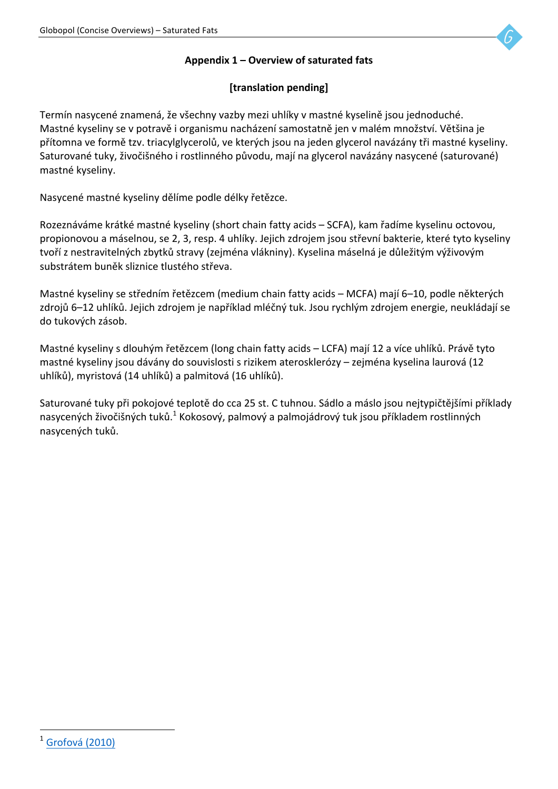## **Appendix 1 – Overview of saturated fats**

## **[translation pending]**

Termín nasycené znamená, že všechny vazby mezi uhlíky v mastné kyselině jsou jednoduché. Mastné kyseliny se v potravě i organismu nacházení samostatně jen v malém množství. Většina je přítomna ve formě tzv. triacylglycerolů, ve kterých jsou na jeden glycerol navázány tři mastné kyseliny. Saturované tuky, živočišného i rostlinného původu, mají na glycerol navázány nasycené (saturované) mastné kyseliny.

Nasycené mastné kyseliny dělíme podle délky řetězce.

Rozeznáváme krátké mastné kyseliny (short chain fatty acids – SCFA), kam řadíme kyselinu octovou, propionovou a máselnou, se 2, 3, resp. 4 uhlíky. Jejich zdrojem jsou střevní bakterie, které tyto kyseliny tvoří z nestravitelných zbytků stravy (zejména vlákniny). Kyselina máselná je důležitým výživovým substrátem buněk sliznice tlustého střeva.

Mastné kyseliny se středním řetězcem (medium chain fatty acids – MCFA) mají 6–10, podle některých zdrojů 6–12 uhlíků. Jejich zdrojem je například mléčný tuk. Jsou rychlým zdrojem energie, neukládají se do tukových zásob.

Mastné kyseliny s dlouhým řetězcem (long chain fatty acids – LCFA) mají 12 a více uhlíků. Právě tyto mastné kyseliny jsou dávány do souvislosti s rizikem aterosklerózy – zejména kyselina laurová (12 uhlíků), myristová (14 uhlíků) a palmitová (16 uhlíků).

Saturované tuky při pokojové teplotě do cca 25 st. C tuhnou. Sádlo a máslo jsou nejtypičtějšími příklady nasycených živočišných tuků.<sup>1</sup> Kokosový, palmový a palmojádrový tuk jsou příkladem rostlinných nasycených tuků.

  $1$  Grofová (2010)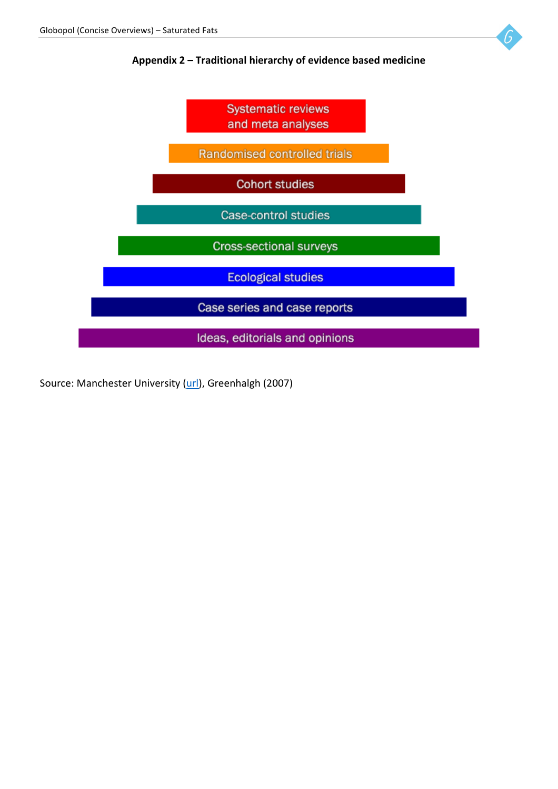#### Appendix 2 – Traditional hierarchy of evidence based medicine



Source: Manchester University (url), Greenhalgh (2007)